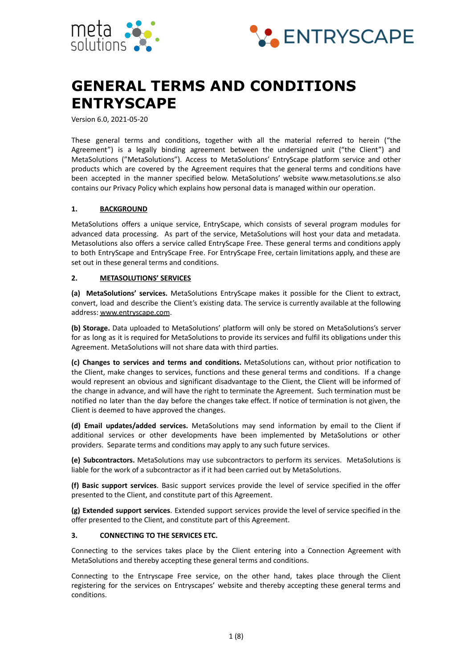



# **GENERAL TERMS AND CONDITIONS ENTRYSCAPE**

Version 6.0, 2021-05-20

These general terms and conditions, together with all the material referred to herein ("the Agreement") is a legally binding agreement between the undersigned unit ("the Client") and MetaSolutions ("MetaSolutions"). Access to MetaSolutions' EntryScape platform service and other products which are covered by the Agreement requires that the general terms and conditions have been accepted in the manner specified below. MetaSolutions' website www.metasolutions.se also contains our Privacy Policy which explains how personal data is managed within our operation.

## **1. BACKGROUND**

MetaSolutions offers a unique service, EntryScape, which consists of several program modules for advanced data processing. As part of the service, MetaSolutions will host your data and metadata. Metasolutions also offers a service called EntryScape Free. These general terms and conditions apply to both EntryScape and EntryScape Free. For EntryScape Free, certain limitations apply, and these are set out in these general terms and conditions.

#### **2. METASOLUTIONS' SERVICES**

**(a) MetaSolutions' services.** MetaSolutions EntryScape makes it possible for the Client to extract, convert, load and describe the Client's existing data. The service is currently available at the following address: www.entryscape.com.

**(b) Storage.** Data uploaded to MetaSolutions' platform will only be stored on MetaSolutions's server for as long as it is required for MetaSolutions to provide its services and fulfil its obligations under this Agreement. MetaSolutions will not share data with third parties.

**(c) Changes to services and terms and conditions.** MetaSolutions can, without prior notification to the Client, make changes to services, functions and these general terms and conditions. If a change would represent an obvious and significant disadvantage to the Client, the Client will be informed of the change in advance, and will have the right to terminate the Agreement. Such termination must be notified no later than the day before the changes take effect. If notice of termination is not given, the Client is deemed to have approved the changes.

**(d) Email updates/added services.** MetaSolutions may send information by email to the Client if additional services or other developments have been implemented by MetaSolutions or other providers. Separate terms and conditions may apply to any such future services.

**(e) Subcontractors.** MetaSolutions may use subcontractors to perform its services. MetaSolutions is liable for the work of a subcontractor as if it had been carried out by MetaSolutions.

**(f) Basic support services**. Basic support services provide the level of service specified in the offer presented to the Client, and constitute part of this Agreement.

**(g) Extended support services**. Extended support services provide the level of service specified in the offer presented to the Client, and constitute part of this Agreement.

#### **3. CONNECTING TO THE SERVICES ETC.**

Connecting to the services takes place by the Client entering into a Connection Agreement with MetaSolutions and thereby accepting these general terms and conditions.

Connecting to the Entryscape Free service, on the other hand, takes place through the Client registering for the services on Entryscapes' website and thereby accepting these general terms and conditions.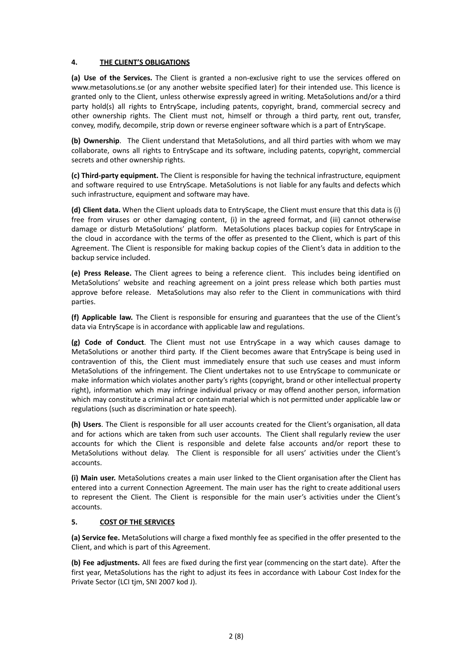# **4. THE CLIENT'S OBLIGATIONS**

**(a) Use of the Services.** The Client is granted a non-exclusive right to use the services offered on www.metasolutions.se (or any another website specified later) for their intended use. This licence is granted only to the Client, unless otherwise expressly agreed in writing. MetaSolutions and/or a third party hold(s) all rights to EntryScape, including patents, copyright, brand, commercial secrecy and other ownership rights. The Client must not, himself or through a third party, rent out, transfer, convey, modify, decompile, strip down or reverse engineer software which is a part of EntryScape.

**(b) Ownership**. The Client understand that MetaSolutions, and all third parties with whom we may collaborate, owns all rights to EntryScape and its software, including patents, copyright, commercial secrets and other ownership rights.

**(c) Third-party equipment.** The Client is responsible for having the technical infrastructure, equipment and software required to use EntryScape. MetaSolutions is not liable for any faults and defects which such infrastructure, equipment and software may have.

**(d) Client data.** When the Client uploads data to EntryScape, the Client must ensure that this data is (i) free from viruses or other damaging content, (i) in the agreed format, and (iii) cannot otherwise damage or disturb MetaSolutions' platform. MetaSolutions places backup copies for EntryScape in the cloud in accordance with the terms of the offer as presented to the Client, which is part of this Agreement. The Client is responsible for making backup copies of the Client's data in addition to the backup service included.

**(e) Press Release.** The Client agrees to being a reference client. This includes being identified on MetaSolutions' website and reaching agreement on a joint press release which both parties must approve before release. MetaSolutions may also refer to the Client in communications with third parties.

**(f) Applicable law.** The Client is responsible for ensuring and guarantees that the use of the Client's data via EntryScape is in accordance with applicable law and regulations.

**(g) Code of Conduct**. The Client must not use EntryScape in a way which causes damage to MetaSolutions or another third party. If the Client becomes aware that EntryScape is being used in contravention of this, the Client must immediately ensure that such use ceases and must inform MetaSolutions of the infringement. The Client undertakes not to use EntryScape to communicate or make information which violates another party's rights (copyright, brand or other intellectual property right), information which may infringe individual privacy or may offend another person, information which may constitute a criminal act or contain material which is not permitted under applicable law or regulations (such as discrimination or hate speech).

**(h) Users**. The Client is responsible for all user accounts created for the Client's organisation, all data and for actions which are taken from such user accounts. The Client shall regularly review the user accounts for which the Client is responsible and delete false accounts and/or report these to MetaSolutions without delay. The Client is responsible for all users' activities under the Client's accounts.

**(i) Main user.** MetaSolutions creates a main user linked to the Client organisation after the Client has entered into a current Connection Agreement. The main user has the right to create additional users to represent the Client. The Client is responsible for the main user's activities under the Client's accounts.

#### **5. COST OF THE SERVICES**

**(a) Service fee.** MetaSolutions will charge a fixed monthly fee as specified in the offer presented to the Client, and which is part of this Agreement.

**(b) Fee adjustments.** All fees are fixed during the first year (commencing on the start date). After the first year, MetaSolutions has the right to adjust its fees in accordance with Labour Cost Index for the Private Sector (LCI tjm, SNI 2007 kod J).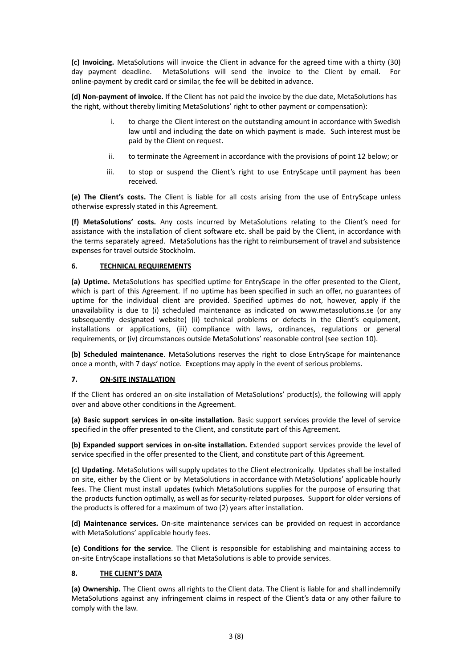**(c) Invoicing.** MetaSolutions will invoice the Client in advance for the agreed time with a thirty (30) day payment deadline. MetaSolutions will send the invoice to the Client by email. For online-payment by credit card or similar, the fee will be debited in advance.

**(d) Non-payment of invoice.** If the Client has not paid the invoice by the due date, MetaSolutions has the right, without thereby limiting MetaSolutions' right to other payment or compensation):

- i. to charge the Client interest on the outstanding amount in accordance with Swedish law until and including the date on which payment is made. Such interest must be paid by the Client on request.
- ii. to terminate the Agreement in accordance with the provisions of point 12 below; or
- iii. to stop or suspend the Client's right to use EntryScape until payment has been received.

**(e) The Client's costs.** The Client is liable for all costs arising from the use of EntryScape unless otherwise expressly stated in this Agreement.

**(f) MetaSolutions' costs.** Any costs incurred by MetaSolutions relating to the Client's need for assistance with the installation of client software etc. shall be paid by the Client, in accordance with the terms separately agreed. MetaSolutions has the right to reimbursement of travel and subsistence expenses for travel outside Stockholm.

## **6. TECHNICAL REQUIREMENTS**

**(a) Uptime.** MetaSolutions has specified uptime for EntryScape in the offer presented to the Client, which is part of this Agreement. If no uptime has been specified in such an offer, no guarantees of uptime for the individual client are provided. Specified uptimes do not, however, apply if the unavailability is due to (i) scheduled maintenance as indicated on www.metasolutions.se (or any subsequently designated website) (ii) technical problems or defects in the Client's equipment, installations or applications, (iii) compliance with laws, ordinances, regulations or general requirements, or (iv) circumstances outside MetaSolutions' reasonable control (see section 10).

**(b) Scheduled maintenance**. MetaSolutions reserves the right to close EntryScape for maintenance once a month, with 7 days' notice. Exceptions may apply in the event of serious problems.

## **7. ON-SITE INSTALLATION**

If the Client has ordered an on-site installation of MetaSolutions' product(s), the following will apply over and above other conditions in the Agreement.

**(a) Basic support services in on-site installation.** Basic support services provide the level of service specified in the offer presented to the Client, and constitute part of this Agreement.

**(b) Expanded support services in on-site installation.** Extended support services provide the level of service specified in the offer presented to the Client, and constitute part of this Agreement.

**(c) Updating.** MetaSolutions will supply updates to the Client electronically. Updates shall be installed on site, either by the Client or by MetaSolutions in accordance with MetaSolutions' applicable hourly fees. The Client must install updates (which MetaSolutions supplies for the purpose of ensuring that the products function optimally, as well as for security-related purposes. Support for older versions of the products is offered for a maximum of two (2) years after installation.

**(d) Maintenance services.** On-site maintenance services can be provided on request in accordance with MetaSolutions' applicable hourly fees.

**(e) Conditions for the service**. The Client is responsible for establishing and maintaining access to on-site EntryScape installations so that MetaSolutions is able to provide services.

# **8. THE CLIENT'S DATA**

**(a) Ownership.** The Client owns all rights to the Client data. The Client is liable for and shall indemnify MetaSolutions against any infringement claims in respect of the Client's data or any other failure to comply with the law.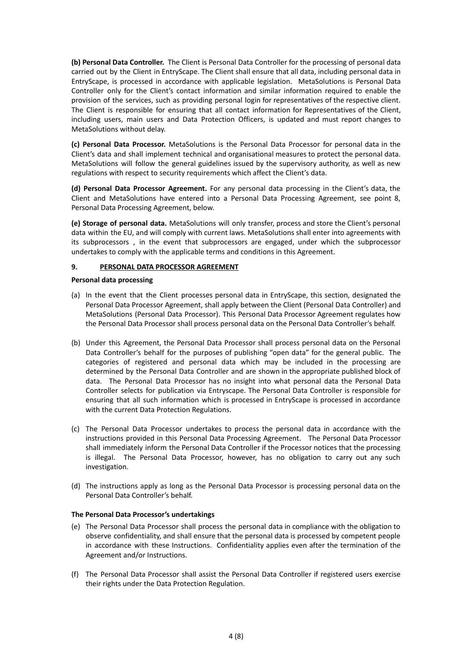**(b) Personal Data Controller.** The Client is Personal Data Controller for the processing of personal data carried out by the Client in EntryScape. The Client shall ensure that all data, including personal data in EntryScape, is processed in accordance with applicable legislation. MetaSolutions is Personal Data Controller only for the Client's contact information and similar information required to enable the provision of the services, such as providing personal login for representatives of the respective client. The Client is responsible for ensuring that all contact information for Representatives of the Client, including users, main users and Data Protection Officers, is updated and must report changes to MetaSolutions without delay.

**(c) Personal Data Processor.** MetaSolutions is the Personal Data Processor for personal data in the Client's data and shall implement technical and organisational measures to protect the personal data. MetaSolutions will follow the general guidelines issued by the supervisory authority, as well as new regulations with respect to security requirements which affect the Client's data.

**(d) Personal Data Processor Agreement.** For any personal data processing in the Client's data, the Client and MetaSolutions have entered into a Personal Data Processing Agreement, see point 8, Personal Data Processing Agreement, below.

**(e) Storage of personal data.** MetaSolutions will only transfer, process and store the Client's personal data within the EU, and will comply with current laws. MetaSolutions shall enter into agreements with its subprocessors , in the event that subprocessors are engaged, under which the subprocessor undertakes to comply with the applicable terms and conditions in this Agreement.

#### **9. PERSONAL DATA PROCESSOR AGREEMENT**

#### **Personal data processing**

- (a) In the event that the Client processes personal data in EntryScape, this section, designated the Personal Data Processor Agreement, shall apply between the Client (Personal Data Controller) and MetaSolutions (Personal Data Processor). This Personal Data Processor Agreement regulates how the Personal Data Processor shall process personal data on the Personal Data Controller's behalf.
- (b) Under this Agreement, the Personal Data Processor shall process personal data on the Personal Data Controller's behalf for the purposes of publishing "open data" for the general public. The categories of registered and personal data which may be included in the processing are determined by the Personal Data Controller and are shown in the appropriate published block of data. The Personal Data Processor has no insight into what personal data the Personal Data Controller selects for publication via Entryscape. The Personal Data Controller is responsible for ensuring that all such information which is processed in EntryScape is processed in accordance with the current Data Protection Regulations.
- (c) The Personal Data Processor undertakes to process the personal data in accordance with the instructions provided in this Personal Data Processing Agreement. The Personal Data Processor shall immediately inform the Personal Data Controller if the Processor notices that the processing is illegal. The Personal Data Processor, however, has no obligation to carry out any such investigation.
- (d) The instructions apply as long as the Personal Data Processor is processing personal data on the Personal Data Controller's behalf.

#### **The Personal Data Processor's undertakings**

- (e) The Personal Data Processor shall process the personal data in compliance with the obligation to observe confidentiality, and shall ensure that the personal data is processed by competent people in accordance with these Instructions. Confidentiality applies even after the termination of the Agreement and/or Instructions.
- (f) The Personal Data Processor shall assist the Personal Data Controller if registered users exercise their rights under the Data Protection Regulation.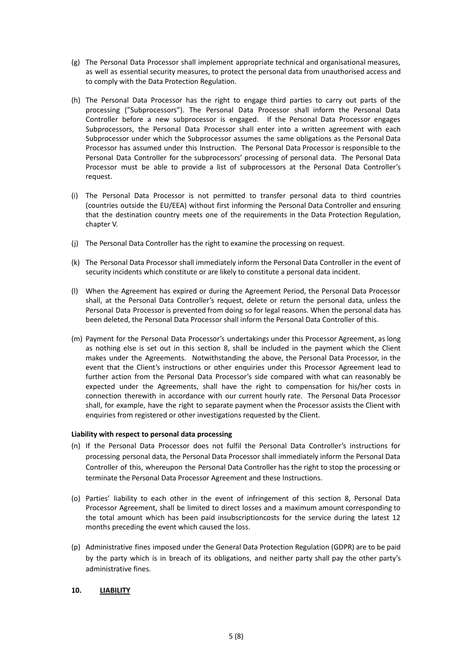- (g) The Personal Data Processor shall implement appropriate technical and organisational measures, as well as essential security measures, to protect the personal data from unauthorised access and to comply with the Data Protection Regulation.
- (h) The Personal Data Processor has the right to engage third parties to carry out parts of the processing ("Subprocessors"). The Personal Data Processor shall inform the Personal Data Controller before a new subprocessor is engaged. If the Personal Data Processor engages Subprocessors, the Personal Data Processor shall enter into a written agreement with each Subprocessor under which the Subprocessor assumes the same obligations as the Personal Data Processor has assumed under this Instruction. The Personal Data Processor is responsible to the Personal Data Controller for the subprocessors' processing of personal data. The Personal Data Processor must be able to provide a list of subprocessors at the Personal Data Controller's request.
- (i) The Personal Data Processor is not permitted to transfer personal data to third countries (countries outside the EU/EEA) without first informing the Personal Data Controller and ensuring that the destination country meets one of the requirements in the Data Protection Regulation, chapter V.
- (j) The Personal Data Controller has the right to examine the processing on request.
- (k) The Personal Data Processor shall immediately inform the Personal Data Controller in the event of security incidents which constitute or are likely to constitute a personal data incident.
- (l) When the Agreement has expired or during the Agreement Period, the Personal Data Processor shall, at the Personal Data Controller's request, delete or return the personal data, unless the Personal Data Processor is prevented from doing so for legal reasons. When the personal data has been deleted, the Personal Data Processor shall inform the Personal Data Controller of this.
- (m) Payment for the Personal Data Processor's undertakings under this Processor Agreement, as long as nothing else is set out in this section 8, shall be included in the payment which the Client makes under the Agreements. Notwithstanding the above, the Personal Data Processor, in the event that the Client's instructions or other enquiries under this Processor Agreement lead to further action from the Personal Data Processor's side compared with what can reasonably be expected under the Agreements, shall have the right to compensation for his/her costs in connection therewith in accordance with our current hourly rate. The Personal Data Processor shall, for example, have the right to separate payment when the Processor assists the Client with enquiries from registered or other investigations requested by the Client.

#### **Liability with respect to personal data processing**

- (n) If the Personal Data Processor does not fulfil the Personal Data Controller's instructions for processing personal data, the Personal Data Processor shall immediately inform the Personal Data Controller of this, whereupon the Personal Data Controller has the right to stop the processing or terminate the Personal Data Processor Agreement and these Instructions.
- (o) Parties' liability to each other in the event of infringement of this section 8, Personal Data Processor Agreement, shall be limited to direct losses and a maximum amount corresponding to the total amount which has been paid insubscriptioncosts for the service during the latest 12 months preceding the event which caused the loss.
- (p) Administrative fines imposed under the General Data Protection Regulation (GDPR) are to be paid by the party which is in breach of its obligations, and neither party shall pay the other party's administrative fines.

# **10. LIABILITY**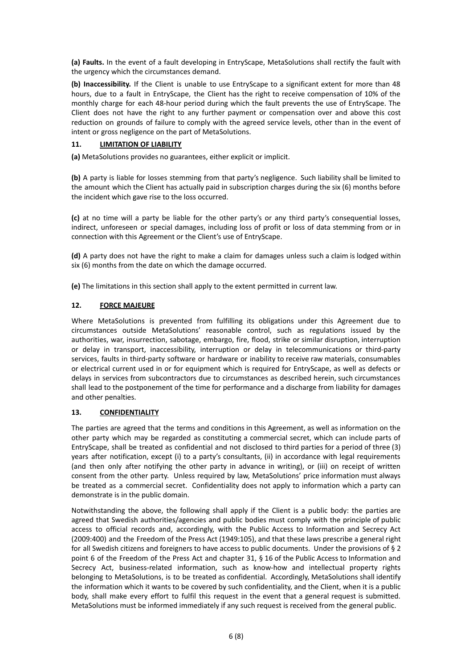**(a) Faults.** In the event of a fault developing in EntryScape, MetaSolutions shall rectify the fault with the urgency which the circumstances demand.

**(b) Inaccessibility.** If the Client is unable to use EntryScape to a significant extent for more than 48 hours, due to a fault in EntryScape, the Client has the right to receive compensation of 10% of the monthly charge for each 48-hour period during which the fault prevents the use of EntryScape. The Client does not have the right to any further payment or compensation over and above this cost reduction on grounds of failure to comply with the agreed service levels, other than in the event of intent or gross negligence on the part of MetaSolutions.

# **11. LIMITATION OF LIABILITY**

**(a)** MetaSolutions provides no guarantees, either explicit or implicit.

**(b)** A party is liable for losses stemming from that party's negligence. Such liability shall be limited to the amount which the Client has actually paid in subscription charges during the six (6) months before the incident which gave rise to the loss occurred.

**(c)** at no time will a party be liable for the other party's or any third party's consequential losses, indirect, unforeseen or special damages, including loss of profit or loss of data stemming from or in connection with this Agreement or the Client's use of EntryScape.

**(d)** A party does not have the right to make a claim for damages unless such a claim is lodged within six (6) months from the date on which the damage occurred.

**(e)** The limitations in this section shall apply to the extent permitted in current law.

# **12. FORCE MAJEURE**

Where MetaSolutions is prevented from fulfilling its obligations under this Agreement due to circumstances outside MetaSolutions' reasonable control, such as regulations issued by the authorities, war, insurrection, sabotage, embargo, fire, flood, strike or similar disruption, interruption or delay in transport, inaccessibility, interruption or delay in telecommunications or third-party services, faults in third-party software or hardware or inability to receive raw materials, consumables or electrical current used in or for equipment which is required for EntryScape, as well as defects or delays in services from subcontractors due to circumstances as described herein, such circumstances shall lead to the postponement of the time for performance and a discharge from liability for damages and other penalties.

# **13. CONFIDENTIALITY**

The parties are agreed that the terms and conditions in this Agreement, as well as information on the other party which may be regarded as constituting a commercial secret, which can include parts of EntryScape, shall be treated as confidential and not disclosed to third parties for a period of three (3) years after notification, except (i) to a party's consultants, (ii) in accordance with legal requirements (and then only after notifying the other party in advance in writing), or (iii) on receipt of written consent from the other party. Unless required by law, MetaSolutions' price information must always be treated as a commercial secret. Confidentiality does not apply to information which a party can demonstrate is in the public domain.

Notwithstanding the above, the following shall apply if the Client is a public body: the parties are agreed that Swedish authorities/agencies and public bodies must comply with the principle of public access to official records and, accordingly, with the Public Access to Information and Secrecy Act (2009:400) and the Freedom of the Press Act (1949:105), and that these laws prescribe a general right for all Swedish citizens and foreigners to have access to public documents. Under the provisions of § 2 point 6 of the Freedom of the Press Act and chapter 31, § 16 of the Public Access to Information and Secrecy Act, business-related information, such as know-how and intellectual property rights belonging to MetaSolutions, is to be treated as confidential. Accordingly, MetaSolutions shall identify the information which it wants to be covered by such confidentiality, and the Client, when it is a public body, shall make every effort to fulfil this request in the event that a general request is submitted. MetaSolutions must be informed immediately if any such request is received from the general public.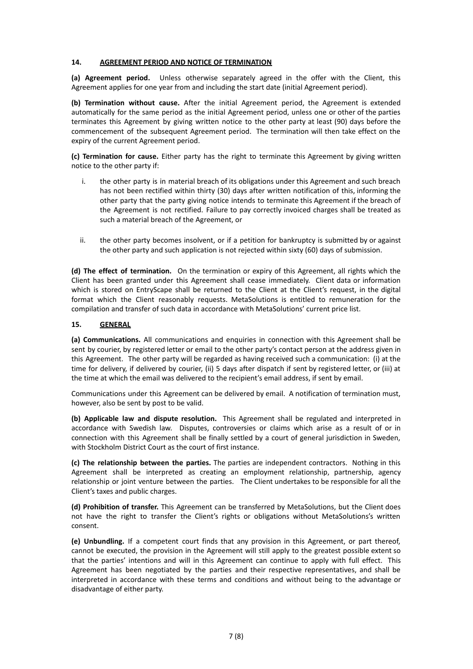#### **14. AGREEMENT PERIOD AND NOTICE OF TERMINATION**

**(a) Agreement period.** Unless otherwise separately agreed in the offer with the Client, this Agreement applies for one year from and including the start date (initial Agreement period).

**(b) Termination without cause.** After the initial Agreement period, the Agreement is extended automatically for the same period as the initial Agreement period, unless one or other of the parties terminates this Agreement by giving written notice to the other party at least (90) days before the commencement of the subsequent Agreement period. The termination will then take effect on the expiry of the current Agreement period.

**(c) Termination for cause.** Either party has the right to terminate this Agreement by giving written notice to the other party if:

- i. the other party is in material breach of its obligations under this Agreement and such breach has not been rectified within thirty (30) days after written notification of this, informing the other party that the party giving notice intends to terminate this Agreement if the breach of the Agreement is not rectified. Failure to pay correctly invoiced charges shall be treated as such a material breach of the Agreement, or
- ii. the other party becomes insolvent, or if a petition for bankruptcy is submitted by or against the other party and such application is not rejected within sixty (60) days of submission.

**(d) The effect of termination.** On the termination or expiry of this Agreement, all rights which the Client has been granted under this Agreement shall cease immediately. Client data or information which is stored on EntryScape shall be returned to the Client at the Client's request, in the digital format which the Client reasonably requests. MetaSolutions is entitled to remuneration for the compilation and transfer of such data in accordance with MetaSolutions' current price list.

## **15. GENERAL**

**(a) Communications.** All communications and enquiries in connection with this Agreement shall be sent by courier, by registered letter or email to the other party's contact person at the address given in this Agreement. The other party will be regarded as having received such a communication: (i) at the time for delivery, if delivered by courier, (ii) 5 days after dispatch if sent by registered letter, or (iii) at the time at which the email was delivered to the recipient's email address, if sent by email.

Communications under this Agreement can be delivered by email. A notification of termination must, however, also be sent by post to be valid.

**(b) Applicable law and dispute resolution.** This Agreement shall be regulated and interpreted in accordance with Swedish law. Disputes, controversies or claims which arise as a result of or in connection with this Agreement shall be finally settled by a court of general jurisdiction in Sweden, with Stockholm District Court as the court of first instance.

**(c) The relationship between the parties.** The parties are independent contractors. Nothing in this Agreement shall be interpreted as creating an employment relationship, partnership, agency relationship or joint venture between the parties. The Client undertakes to be responsible for all the Client's taxes and public charges.

**(d) Prohibition of transfer.** This Agreement can be transferred by MetaSolutions, but the Client does not have the right to transfer the Client's rights or obligations without MetaSolutions's written consent.

**(e) Unbundling.** If a competent court finds that any provision in this Agreement, or part thereof, cannot be executed, the provision in the Agreement will still apply to the greatest possible extent so that the parties' intentions and will in this Agreement can continue to apply with full effect. This Agreement has been negotiated by the parties and their respective representatives, and shall be interpreted in accordance with these terms and conditions and without being to the advantage or disadvantage of either party.